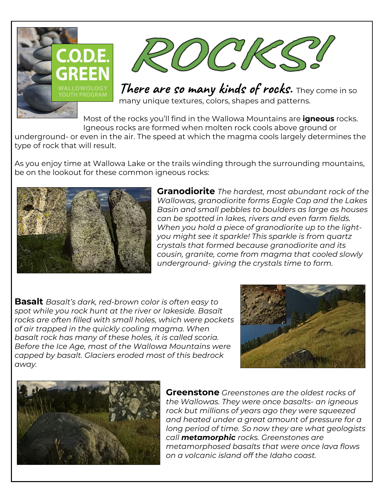



**There are so many kinds of rocks.** They come in so many unique textures, colors, shapes and patterns.

Most of the rocks you'll find in the Wallowa Mountains are **igneous** rocks. Igneous rocks are formed when molten rock cools above ground or

underground- or even in the air. The speed at which the magma cools largely determines the type of rock that will result.

As you enjoy time at Wallowa Lake or the trails winding through the surrounding mountains, be on the lookout for these common igneous rocks:



**Granodiorite** *The hardest, most abundant rock of the Wallowas, granodiorite forms Eagle Cap and the Lakes Basin and small pebbles to boulders as large as houses can be spotted in lakes, rivers and even farm fields. When you hold a piece of granodiorite up to the lightyou might see it sparkle! This sparkle is from quartz crystals that formed because granodiorite and its cousin, granite, come from magma that cooled slowly underground- giving the crystals time to form.*

**Basalt** *Basalt's dark, red-brown color is often easy to spot while you rock hunt at the river or lakeside. Basalt rocks are often filled with small holes, which were pockets of air trapped in the quickly cooling magma. When basalt rock has many of these holes, it is called scoria. Before the Ice Age, most of the Wallowa Mountains were capped by basalt. Glaciers eroded most of this bedrock away.*





**Greenstone** *Greenstones are the oldest rocks of the Wallowas. They were once basalts- an igneous rock but millions of years ago they were squeezed and heated under a great amount of pressure for a long period of time. So now they are what geologists call metamorphic rocks. Greenstones are metamorphosed basalts that were once lava flows on a volcanic island off the Idaho coast.*